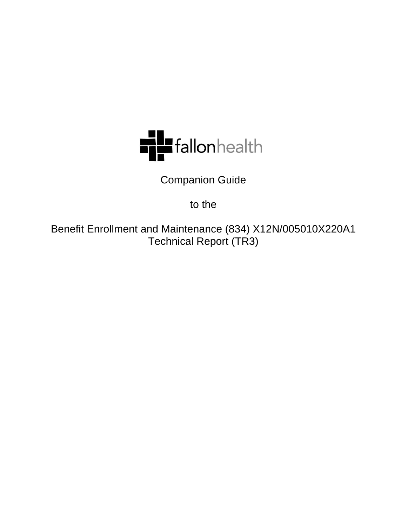

Companion Guide

to the

Benefit Enrollment and Maintenance (834) X12N/005010X220A1 Technical Report (TR3)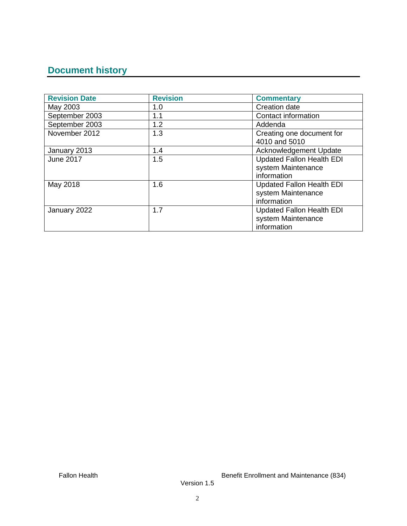# **Document history**

| <b>Revision Date</b> | <b>Revision</b> | <b>Commentary</b>                                                     |
|----------------------|-----------------|-----------------------------------------------------------------------|
| May 2003             | 1.0             | <b>Creation date</b>                                                  |
| September 2003       | 1.1             | Contact information                                                   |
| September 2003       | 1.2             | Addenda                                                               |
| November 2012        | 1.3             | Creating one document for<br>4010 and 5010                            |
| January 2013         | 1.4             | Acknowledgement Update                                                |
| June 2017            | 1.5             | <b>Updated Fallon Health EDI</b><br>system Maintenance<br>information |
| May 2018             | 1.6             | <b>Updated Fallon Health EDI</b><br>system Maintenance<br>information |
| January 2022         | 1.7             | <b>Updated Fallon Health EDI</b><br>system Maintenance<br>information |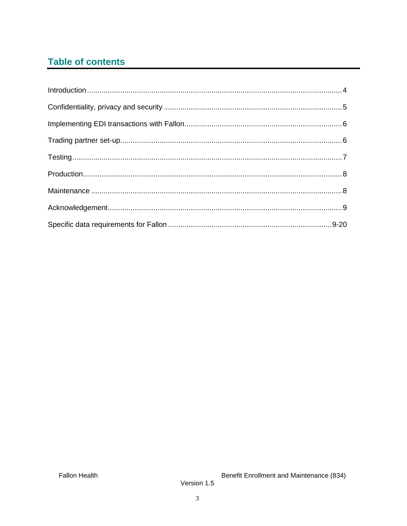# **Table of contents**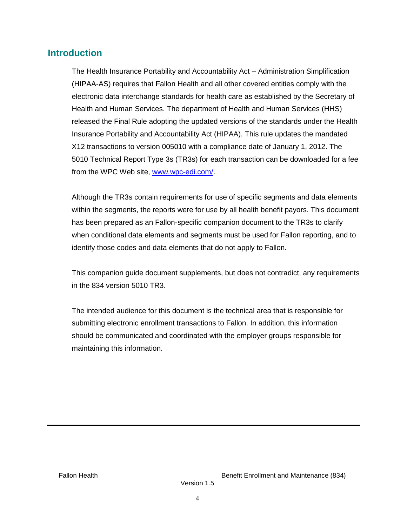# **Introduction**

The Health Insurance Portability and Accountability Act – Administration Simplification (HIPAA-AS) requires that Fallon Health and all other covered entities comply with the electronic data interchange standards for health care as established by the Secretary of Health and Human Services. The department of Health and Human Services (HHS) released the Final Rule adopting the updated versions of the standards under the Health Insurance Portability and Accountability Act (HIPAA). This rule updates the mandated X12 transactions to version 005010 with a compliance date of January 1, 2012. The 5010 Technical Report Type 3s (TR3s) for each transaction can be downloaded for a fee from the WPC Web site, [www.wpc-edi.com/.](http://www.wpc-edi.com/)

Although the TR3s contain requirements for use of specific segments and data elements within the segments, the reports were for use by all health benefit payors. This document has been prepared as an Fallon-specific companion document to the TR3s to clarify when conditional data elements and segments must be used for Fallon reporting, and to identify those codes and data elements that do not apply to Fallon.

This companion guide document supplements, but does not contradict, any requirements in the 834 version 5010 TR3.

The intended audience for this document is the technical area that is responsible for submitting electronic enrollment transactions to Fallon. In addition, this information should be communicated and coordinated with the employer groups responsible for maintaining this information.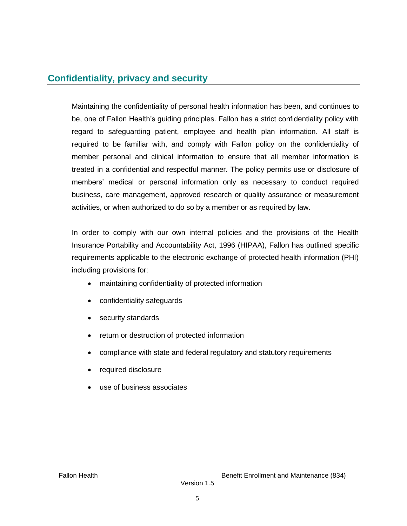# **Confidentiality, privacy and security**

Maintaining the confidentiality of personal health information has been, and continues to be, one of Fallon Health's guiding principles. Fallon has a strict confidentiality policy with regard to safeguarding patient, employee and health plan information. All staff is required to be familiar with, and comply with Fallon policy on the confidentiality of member personal and clinical information to ensure that all member information is treated in a confidential and respectful manner. The policy permits use or disclosure of members' medical or personal information only as necessary to conduct required business, care management, approved research or quality assurance or measurement activities, or when authorized to do so by a member or as required by law.

In order to comply with our own internal policies and the provisions of the Health Insurance Portability and Accountability Act, 1996 (HIPAA), Fallon has outlined specific requirements applicable to the electronic exchange of protected health information (PHI) including provisions for:

- maintaining confidentiality of protected information
- confidentiality safeguards
- security standards
- return or destruction of protected information
- compliance with state and federal regulatory and statutory requirements
- required disclosure
- use of business associates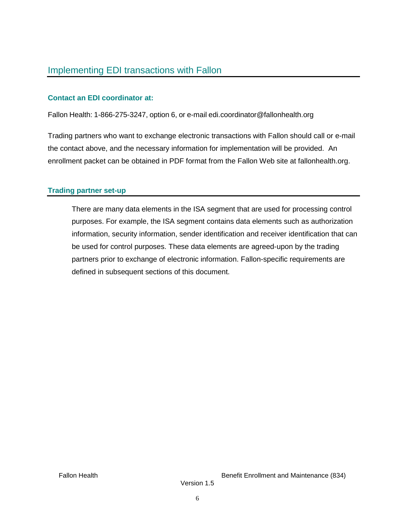## **Contact an EDI coordinator at:**

Fallon Health: 1-866-275-3247, option 6, or e-mail edi.coordinator@fallonhealth.org

Trading partners who want to exchange electronic transactions with Fallon should call or e-mail the contact above, and the necessary information for implementation will be provided. An enrollment packet can be obtained in PDF format from the Fallon Web site at fallonhealth.org.

## **Trading partner set-up**

There are many data elements in the ISA segment that are used for processing control purposes. For example, the ISA segment contains data elements such as authorization information, security information, sender identification and receiver identification that can be used for control purposes. These data elements are agreed-upon by the trading partners prior to exchange of electronic information. Fallon-specific requirements are defined in subsequent sections of this document.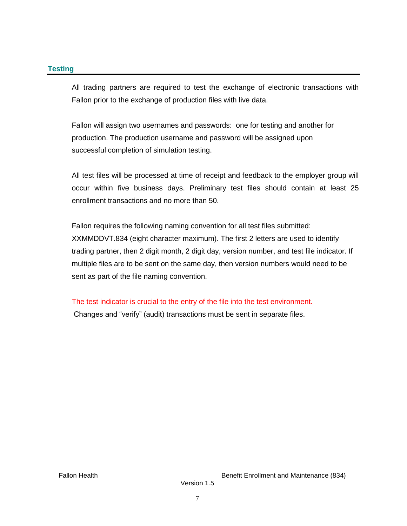## **Testing**

All trading partners are required to test the exchange of electronic transactions with Fallon prior to the exchange of production files with live data.

Fallon will assign two usernames and passwords: one for testing and another for production. The production username and password will be assigned upon successful completion of simulation testing.

All test files will be processed at time of receipt and feedback to the employer group will occur within five business days. Preliminary test files should contain at least 25 enrollment transactions and no more than 50.

Fallon requires the following naming convention for all test files submitted: XXMMDDVT.834 (eight character maximum). The first 2 letters are used to identify trading partner, then 2 digit month, 2 digit day, version number, and test file indicator. If multiple files are to be sent on the same day, then version numbers would need to be sent as part of the file naming convention.

The test indicator is crucial to the entry of the file into the test environment.

Changes and "verify" (audit) transactions must be sent in separate files.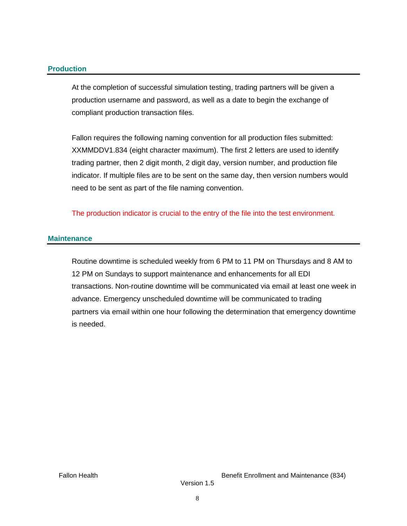#### **Production**

At the completion of successful simulation testing, trading partners will be given a production username and password, as well as a date to begin the exchange of compliant production transaction files.

Fallon requires the following naming convention for all production files submitted: XXMMDDV1.834 (eight character maximum). The first 2 letters are used to identify trading partner, then 2 digit month, 2 digit day, version number, and production file indicator. If multiple files are to be sent on the same day, then version numbers would need to be sent as part of the file naming convention.

The production indicator is crucial to the entry of the file into the test environment.

### **Maintenance**

Routine downtime is scheduled weekly from 6 PM to 11 PM on Thursdays and 8 AM to 12 PM on Sundays to support maintenance and enhancements for all EDI transactions. Non-routine downtime will be communicated via email at least one week in advance. Emergency unscheduled downtime will be communicated to trading partners via email within one hour following the determination that emergency downtime is needed.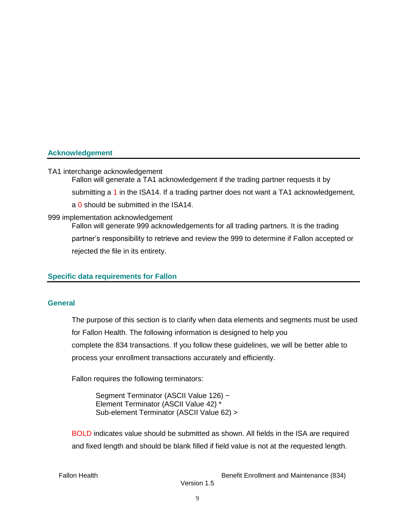### **Acknowledgement**

#### TA1 interchange acknowledgement

Fallon will generate a TA1 acknowledgement if the trading partner requests it by submitting a 1 in the ISA14. If a trading partner does not want a TA1 acknowledgement, a 0 should be submitted in the ISA14. 999 implementation acknowledgement

Fallon will generate 999 acknowledgements for all trading partners. It is the trading partner's responsibility to retrieve and review the 999 to determine if Fallon accepted or

rejected the file in its entirety.

#### **Specific data requirements for Fallon**

#### **General**

The purpose of this section is to clarify when data elements and segments must be used for Fallon Health. The following information is designed to help you complete the 834 transactions. If you follow these guidelines, we will be better able to process your enrollment transactions accurately and efficiently.

Fallon requires the following terminators:

Segment Terminator (ASCII Value 126) ~ Element Terminator (ASCII Value 42) \* Sub-element Terminator (ASCII Value 62) >

BOLD indicates value should be submitted as shown. All fields in the ISA are required and fixed length and should be blank filled if field value is not at the requested length.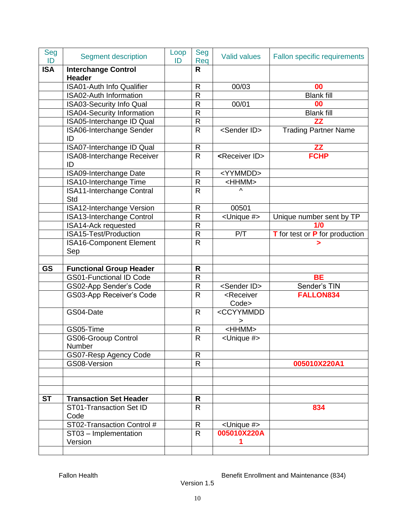| Seg<br>ID  | <b>Segment description</b>                                       | Loop<br>ID | Seg<br>Req              | <b>Valid values</b>                             | Fallon specific requirements   |
|------------|------------------------------------------------------------------|------------|-------------------------|-------------------------------------------------|--------------------------------|
| <b>ISA</b> | <b>Interchange Control</b><br><b>Header</b>                      |            | R                       |                                                 |                                |
|            | <b>ISA01-Auth Info Qualifier</b>                                 |            | $\mathsf{R}$            | 00/03                                           | 00                             |
|            | <b>ISA02-Auth Information</b>                                    |            | $\overline{\mathsf{R}}$ |                                                 | <b>Blank fill</b>              |
|            | <b>ISA03-Security Info Qual</b>                                  |            | $\mathsf{R}$            | 00/01                                           | 00                             |
|            | <b>ISA04-Security Information</b>                                |            | $\mathsf{R}$            |                                                 | <b>Blank fill</b>              |
|            | ISA05-Interchange ID Qual                                        |            | $\mathsf{R}$            |                                                 | ZZ                             |
|            | ISA06-Interchange Sender<br>ID                                   |            | R                       | <sender id=""></sender>                         | <b>Trading Partner Name</b>    |
|            | ISA07-Interchange ID Qual                                        |            | $\mathsf R$             |                                                 | ZZ                             |
|            | ISA08-Interchange Receiver<br>ID                                 |            | R                       | <receiver id=""></receiver>                     | <b>FCHP</b>                    |
|            | ISA09-Interchange Date                                           |            | R                       | <yymmdd></yymmdd>                               |                                |
|            | ISA10-Interchange Time                                           |            | $\mathsf{R}$            | <hhmm></hhmm>                                   |                                |
|            | ISA11-Interchange Contral<br>Std                                 |            | $\mathsf{R}$            | Λ                                               |                                |
|            | <b>ISA12-Interchange Version</b>                                 |            | R                       | 00501                                           |                                |
|            | ISA13-Interchange Control                                        |            | $\mathsf{R}$            | <unique #=""></unique>                          | Unique number sent by TP       |
|            | ISA14-Ack requested                                              |            | $\mathsf{R}$            |                                                 | 1/0                            |
|            | ISA15-Test/Production                                            |            | $\mathsf{R}$            | P/T                                             | T for test or P for production |
|            | <b>ISA16-Component Element</b><br>Sep                            |            | $\overline{\mathsf{R}}$ |                                                 |                                |
|            |                                                                  |            |                         |                                                 |                                |
| <b>GS</b>  | <b>Functional Group Header</b><br><b>GS01-Functional ID Code</b> |            | R<br>$\mathsf{R}$       |                                                 | <b>BE</b>                      |
|            |                                                                  |            | $\mathsf{R}$            | <sender id=""></sender>                         | Sender's TIN                   |
|            | GS02-App Sender's Code<br>GS03-App Receiver's Code               |            | $\overline{\mathsf{R}}$ | <receiver< td=""><td>FALLON834</td></receiver<> | FALLON834                      |
|            |                                                                  |            |                         | Code>                                           |                                |
|            | GS04-Date                                                        |            | $\mathsf{R}$            | <ccyymmdd<br>&gt;</ccyymmdd<br>                 |                                |
|            | GS05-Time                                                        |            | R                       | <hhmm></hhmm>                                   |                                |
|            | <b>GS06-Grooup Control</b><br>Number                             |            | $\overline{R}$          | <unique #=""></unique>                          |                                |
|            | GS07-Resp Agency Code                                            |            | R                       |                                                 |                                |
|            | GS08-Version                                                     |            | $\mathsf R$             |                                                 | 005010X220A1                   |
|            |                                                                  |            |                         |                                                 |                                |
| <b>ST</b>  | <b>Transaction Set Header</b>                                    |            | R                       |                                                 |                                |
|            | ST01-Transaction Set ID<br>Code                                  |            | $\mathsf{R}$            |                                                 | 834                            |
|            | ST02-Transaction Control #                                       |            | R                       | <unique #=""></unique>                          |                                |
|            | ST03 - Implementation                                            |            | $\mathsf{R}$            | 005010X220A                                     |                                |
|            | Version                                                          |            |                         | 1                                               |                                |
|            |                                                                  |            |                         |                                                 |                                |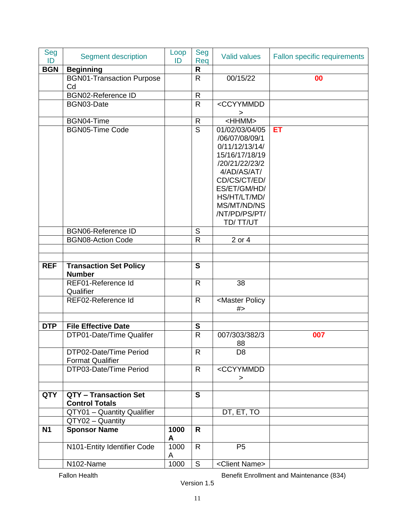| Seg<br>ID  | <b>Segment description</b>                        | Loop<br>ID | Seg<br>Req              | <b>Valid values</b>                    | Fallon specific requirements |
|------------|---------------------------------------------------|------------|-------------------------|----------------------------------------|------------------------------|
| <b>BGN</b> | <b>Beginning</b>                                  |            | $\mathsf{R}$            |                                        |                              |
|            | <b>BGN01-Transaction Purpose</b>                  |            | $\mathsf{R}$            | 00/15/22                               | 00                           |
|            | Cd                                                |            |                         |                                        |                              |
|            | <b>BGN02-Reference ID</b>                         |            | $\mathsf R$             |                                        |                              |
|            | BGN03-Date                                        |            | $\mathsf{R}$            | <ccyymmdd<br>&gt;</ccyymmdd<br>        |                              |
|            | BGN04-Time                                        |            | $\mathsf{R}% _{T}$      | $<$ HHMM $>$                           |                              |
|            | <b>BGN05-Time Code</b>                            |            | $\overline{\mathsf{s}}$ | 01/02/03/04/05                         | ET                           |
|            |                                                   |            |                         | /06/07/08/09/1                         |                              |
|            |                                                   |            |                         | 0/11/12/13/14/                         |                              |
|            |                                                   |            |                         | 15/16/17/18/19                         |                              |
|            |                                                   |            |                         | /20/21/22/23/2                         |                              |
|            |                                                   |            |                         | 4/AD/AS/AT/                            |                              |
|            |                                                   |            |                         | CD/CS/CT/ED/                           |                              |
|            |                                                   |            |                         | ES/ET/GM/HD/                           |                              |
|            |                                                   |            |                         | HS/HT/LT/MD/<br>MS/MT/ND/NS            |                              |
|            |                                                   |            |                         | /NT/PD/PS/PT/                          |                              |
|            |                                                   |            |                         | TD/TT/UT                               |                              |
|            | <b>BGN06-Reference ID</b>                         |            | ${\mathsf S}$           |                                        |                              |
|            | <b>BGN08-Action Code</b>                          |            | $\mathsf{R}$            | 2 or 4                                 |                              |
|            |                                                   |            |                         |                                        |                              |
|            |                                                   |            |                         |                                        |                              |
| <b>REF</b> | <b>Transaction Set Policy</b><br><b>Number</b>    |            | $\mathbf S$             |                                        |                              |
|            | REF01-Reference Id<br>Qualifier                   |            | $\overline{R}$          | 38                                     |                              |
|            | REF02-Reference Id                                |            | $\mathsf{R}$            | <master policy<br="">#</master>        |                              |
|            |                                                   |            |                         |                                        |                              |
| <b>DTP</b> | <b>File Effective Date</b>                        |            | ${\mathbf S}$           |                                        |                              |
|            | DTP01-Date/Time Qualifer                          |            | $\overline{R}$          | 007/303/382/3<br>88                    | 007                          |
|            | DTP02-Date/Time Period<br><b>Format Qualifier</b> |            | $\mathsf{R}$            | D <sub>8</sub>                         |                              |
|            | DTP03-Date/Time Period                            |            | $\mathsf{R}$            | <ccyymmdd< th=""><th></th></ccyymmdd<> |                              |
|            |                                                   |            |                         | >                                      |                              |
| <b>QTY</b> | QTY - Transaction Set                             |            | $\mathbf{s}$            |                                        |                              |
|            | <b>Control Totals</b>                             |            |                         |                                        |                              |
|            | QTY01 - Quantity Qualifier                        |            |                         | DT, ET, TO                             |                              |
|            | QTY02 - Quantity                                  |            |                         |                                        |                              |
| <b>N1</b>  | <b>Sponsor Name</b>                               | 1000<br>A  | R                       |                                        |                              |
|            | N101-Entity Identifier Code                       | 1000<br>A  | $\mathsf{R}$            | P <sub>5</sub>                         |                              |
|            | N102-Name                                         | 1000       | ${\mathsf S}$           | <client name=""></client>              |                              |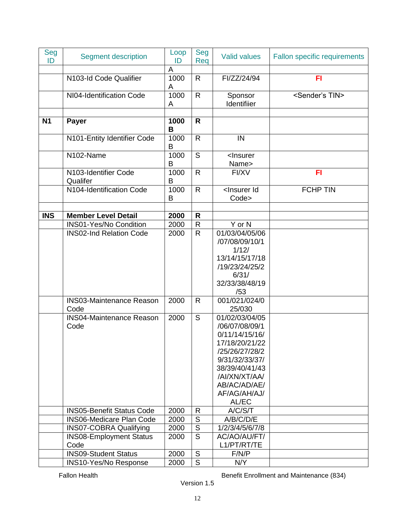| Seg<br>ID  | <b>Segment description</b>              | Loop<br>ID | Seg<br>Req     | <b>Valid values</b>                                                                                                                                                                  | Fallon specific requirements |
|------------|-----------------------------------------|------------|----------------|--------------------------------------------------------------------------------------------------------------------------------------------------------------------------------------|------------------------------|
|            |                                         | A          |                |                                                                                                                                                                                      |                              |
|            | N103-Id Code Qualifier                  | 1000<br>A  | $\mathsf{R}$   | FI/ZZ/24/94                                                                                                                                                                          | FI                           |
|            | NI04-Identification Code                | 1000<br>A  | $\mathsf{R}$   | Sponsor<br>Identifiier                                                                                                                                                               | <sender's tin=""></sender's> |
|            |                                         |            |                |                                                                                                                                                                                      |                              |
| <b>N1</b>  | Payer                                   | 1000<br>B  | R              |                                                                                                                                                                                      |                              |
|            | N101-Entity Identifier Code             | 1000<br>B  | $\mathsf{R}$   | IN                                                                                                                                                                                   |                              |
|            | N102-Name                               | 1000<br>B  | S              | <lnsurer<br>Name&gt;</lnsurer<br>                                                                                                                                                    |                              |
|            | N103-Identifier Code<br>Qualifer        | 1000<br>В  | $\mathsf{R}$   | FI/XV                                                                                                                                                                                | FI                           |
|            | N104-Identification Code                | 1000<br>B  | $\mathsf{R}$   | <lnsurer id<br="">Code&gt;</lnsurer>                                                                                                                                                 | <b>FCHP TIN</b>              |
|            |                                         |            |                |                                                                                                                                                                                      |                              |
| <b>INS</b> | <b>Member Level Detail</b>              | 2000       | $\mathsf{R}$   |                                                                                                                                                                                      |                              |
|            | <b>INS01-Yes/No Condition</b>           | 2000       | $\mathsf{R}$   | Y or N                                                                                                                                                                               |                              |
|            | <b>INS02-Ind Relation Code</b>          | 2000       | $\mathsf{R}$   | 01/03/04/05/06<br>/07/08/09/10/1<br>1/12/<br>13/14/15/17/18<br>/19/23/24/25/2<br>6/31/<br>32/33/38/48/19<br>/53                                                                      |                              |
|            | <b>INS03-Maintenance Reason</b><br>Code | 2000       | $\mathsf{R}$   | 001/021/024/0<br>25/030                                                                                                                                                              |                              |
|            | <b>INS04-Maintenance Reason</b><br>Code | 2000       | $\mathsf S$    | 01/02/03/04/05<br>/06/07/08/09/1<br>0/11/14/15/16/<br>17/18/20/21/22<br>/25/26/27/28/2<br>9/31/32/33/37/<br>38/39/40/41/43<br>/AI/XN/XT/AA/<br>AB/AC/AD/AE/<br>AF/AG/AH/AJ/<br>AL/EC |                              |
|            | <b>INS05-Benefit Status Code</b>        | 2000       | $\mathsf{R}$   | A/C/S/T                                                                                                                                                                              |                              |
|            | <b>INS06-Medicare Plan Code</b>         | 2000       | $\overline{S}$ | A/B/C/D/E                                                                                                                                                                            |                              |
|            | <b>INS07-COBRA Qualifying</b>           | 2000       | $\overline{S}$ | 1/2/3/4/5/6/7/8                                                                                                                                                                      |                              |
|            | <b>INS08-Employment Status</b><br>Code  | 2000       | $\overline{S}$ | AC/AO/AU/FT/<br>L1/PT/RT/TE                                                                                                                                                          |                              |
|            | <b>INS09-Student Status</b>             | 2000       | $\mathbb S$    | F/N/P                                                                                                                                                                                |                              |
|            | INS10-Yes/No Response                   | 2000       | $\overline{S}$ | N/Y                                                                                                                                                                                  |                              |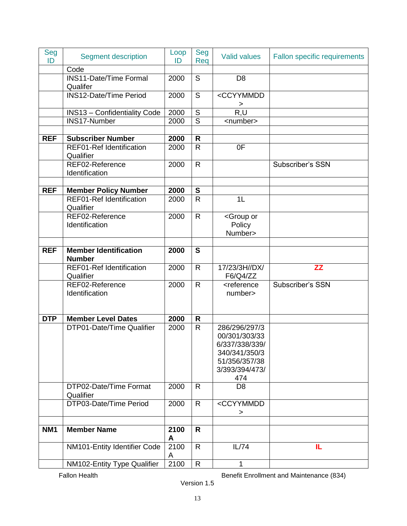| Seg<br>ID       | <b>Segment description</b>                    | Loop<br>ID | Seg<br>Req              | <b>Valid values</b>                                                                                         | Fallon specific requirements |
|-----------------|-----------------------------------------------|------------|-------------------------|-------------------------------------------------------------------------------------------------------------|------------------------------|
|                 | Code                                          |            |                         |                                                                                                             |                              |
|                 | <b>INS11-Date/Time Formal</b><br>Qualifer     | 2000       | $\mathsf S$             | D <sub>8</sub>                                                                                              |                              |
|                 | <b>INS12-Date/Time Period</b>                 | 2000       | $\mathsf S$             | <ccyymmdd<br>&gt;</ccyymmdd<br>                                                                             |                              |
|                 | <b>INS13 - Confidentiality Code</b>           | 2000       | $\mathsf S$             | R, U                                                                                                        |                              |
|                 | INS17-Number                                  | 2000       | $\overline{\mathsf{s}}$ | <number></number>                                                                                           |                              |
|                 |                                               |            |                         |                                                                                                             |                              |
| <b>REF</b>      | <b>Subscriber Number</b>                      | 2000       | $\mathsf{R}$            |                                                                                                             |                              |
|                 | <b>REF01-Ref Identification</b><br>Qualifier  | 2000       | $\overline{R}$          | 0F                                                                                                          |                              |
|                 | REF02-Reference<br>Identification             | 2000       | $\mathsf{R}$            |                                                                                                             | Subscriber's SSN             |
| <b>REF</b>      | <b>Member Policy Number</b>                   | 2000       | $\mathbf S$             |                                                                                                             |                              |
|                 | <b>REF01-Ref Identification</b><br>Qualifier  | 2000       | $\mathsf{R}$            | 1 <sub>L</sub>                                                                                              |                              |
|                 | REF02-Reference<br>Identification             | 2000       | $\mathsf{R}$            | <group or<br="">Policy<br/>Number&gt;</group>                                                               |                              |
|                 |                                               |            |                         |                                                                                                             |                              |
| <b>REF</b>      | <b>Member Identification</b><br><b>Number</b> | 2000       | S                       |                                                                                                             |                              |
|                 | <b>REF01-Ref Identification</b><br>Qualifier  | 2000       | $\mathsf{R}$            | 17/23/3H//DX/<br>F6/Q4/ZZ                                                                                   | ZZ                           |
|                 | REF02-Reference<br>Identification             | 2000       | $\mathsf{R}$            | <reference<br>number&gt;</reference<br>                                                                     | Subscriber's SSN             |
| <b>DTP</b>      | <b>Member Level Dates</b>                     | 2000       | $\mathsf{R}$            |                                                                                                             |                              |
|                 | DTP01-Date/Time Qualifier                     | 2000       | $\mathsf{R}$            | 286/296/297/3<br>00/301/303/33<br>6/337/338/339/<br>340/341/350/3<br>51/356/357/38<br>3/393/394/473/<br>474 |                              |
|                 | DTP02-Date/Time Format<br>Qualifier           | 2000       | $\mathsf{R}$            | D <sub>8</sub>                                                                                              |                              |
|                 | DTP03-Date/Time Period                        | 2000       | R                       | <ccyymmdd<br>&gt;</ccyymmdd<br>                                                                             |                              |
|                 |                                               |            |                         |                                                                                                             |                              |
| NM <sub>1</sub> | <b>Member Name</b>                            | 2100<br>A  | R                       |                                                                                                             |                              |
|                 | NM101-Entity Identifier Code                  | 2100<br>A  | $\mathsf{R}$            | IL/74                                                                                                       | IL                           |
|                 | NM102-Entity Type Qualifier                   | 2100       | $\mathsf{R}% _{T}$      | 1                                                                                                           |                              |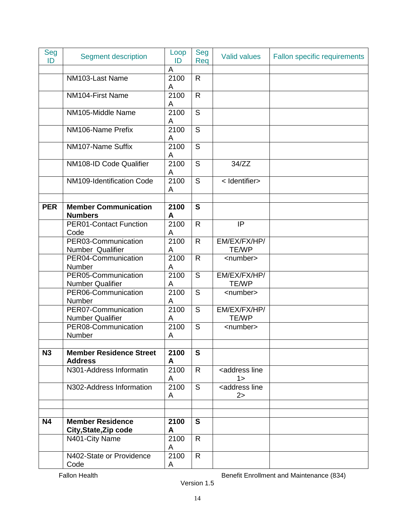| Seg<br>ID  | <b>Segment description</b>                       | Loop<br>ID | Seg<br>Req   | <b>Valid values</b>                              | <b>Fallon specific requirements</b> |
|------------|--------------------------------------------------|------------|--------------|--------------------------------------------------|-------------------------------------|
|            |                                                  | A          |              |                                                  |                                     |
|            | NM103-Last Name                                  | 2100<br>A  | $\mathsf{R}$ |                                                  |                                     |
|            | NM104-First Name                                 | 2100<br>A  | $\mathsf{R}$ |                                                  |                                     |
|            | NM105-Middle Name                                | 2100<br>A  | $\mathsf S$  |                                                  |                                     |
|            | NM106-Name Prefix                                | 2100<br>A  | S            |                                                  |                                     |
|            | NM107-Name Suffix                                | 2100<br>A  | S            |                                                  |                                     |
|            | NM108-ID Code Qualifier                          | 2100<br>A  | S            | 34/ZZ                                            |                                     |
|            | NM109-Identification Code                        | 2100<br>A  | S            | < Identifier>                                    |                                     |
|            |                                                  |            |              |                                                  |                                     |
| <b>PER</b> | <b>Member Communication</b><br><b>Numbers</b>    | 2100<br>A  | $\mathbf S$  |                                                  |                                     |
|            | <b>PER01-Contact Function</b><br>Code            | 2100<br>A  | $\mathsf{R}$ | IP                                               |                                     |
|            | PER03-Communication<br>Number Qualifier          | 2100<br>A  | $\mathsf{R}$ | EM/EX/FX/HP/<br><b>TE/WP</b>                     |                                     |
|            | PER04-Communication<br>Number                    | 2100<br>A  | $\mathsf{R}$ | <number></number>                                |                                     |
|            | PER05-Communication<br><b>Number Qualifier</b>   | 2100<br>A  | S            | EM/EX/FX/HP/<br><b>TE/WP</b>                     |                                     |
|            | PER06-Communication<br>Number                    | 2100<br>A  | S            | <number></number>                                |                                     |
|            | PER07-Communication<br><b>Number Qualifier</b>   | 2100<br>A  | $\mathsf S$  | EM/EX/FX/HP/<br><b>TE/WP</b>                     |                                     |
|            | PER08-Communication<br>Number                    | 2100<br>A  | S            | <number></number>                                |                                     |
|            |                                                  |            |              |                                                  |                                     |
| N3         | <b>Member Residence Street</b><br><b>Address</b> | 2100<br>A  | $\mathbf S$  |                                                  |                                     |
|            | N301-Address Informatin                          | 2100<br>A  | $\mathsf{R}$ | <address line<br=""><math>1\geq</math></address> |                                     |
|            | N302-Address Information                         | 2100<br>A  | S            | <address line<br="">2&gt;</address>              |                                     |
|            |                                                  |            |              |                                                  |                                     |
| <b>N4</b>  | <b>Member Residence</b><br>City, State, Zip code | 2100<br>A  | $\mathbf{s}$ |                                                  |                                     |
|            | N401-City Name                                   | 2100<br>A  | $\mathsf{R}$ |                                                  |                                     |
|            | N402-State or Providence<br>Code                 | 2100<br>A  | $\mathsf{R}$ |                                                  |                                     |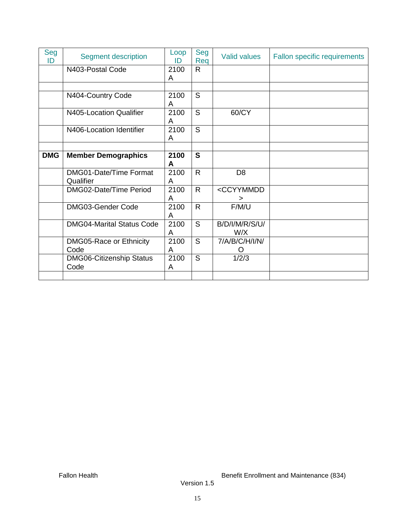| Seg<br>ID  | <b>Segment description</b>              | Loop<br>ID | Seg<br>Req   | <b>Valid values</b>          | <b>Fallon specific requirements</b> |
|------------|-----------------------------------------|------------|--------------|------------------------------|-------------------------------------|
|            | N403-Postal Code                        | 2100<br>A  | $\mathsf{R}$ |                              |                                     |
|            |                                         |            |              |                              |                                     |
|            | N404-Country Code                       | 2100<br>A  | S            |                              |                                     |
|            | N405-Location Qualifier                 | 2100<br>A  | S            | 60/CY                        |                                     |
|            | N406-Location Identifier                | 2100<br>A  | S            |                              |                                     |
| <b>DMG</b> |                                         | 2100       | $\mathbf{s}$ |                              |                                     |
|            | <b>Member Demographics</b>              | A          |              |                              |                                     |
|            | DMG01-Date/Time Format<br>Qualifier     | 2100<br>A  | $\mathsf{R}$ | D <sub>8</sub>               |                                     |
|            | DMG02-Date/Time Period                  | 2100<br>A  | $\mathsf{R}$ | <ccyymmdd<br>⋗</ccyymmdd<br> |                                     |
|            | DMG03-Gender Code                       | 2100<br>A  | $\mathsf{R}$ | F/M/U                        |                                     |
|            | <b>DMG04-Marital Status Code</b>        | 2100<br>A  | S            | <b>B/D/I/M/R/S/U/</b><br>W/X |                                     |
|            | DMG05-Race or Ethnicity<br>Code         | 2100<br>A  | S            | 7/A/B/C/H/I/N/               |                                     |
|            | <b>DMG06-Citizenship Status</b><br>Code | 2100<br>A  | S            | 1/2/3                        |                                     |
|            |                                         |            |              |                              |                                     |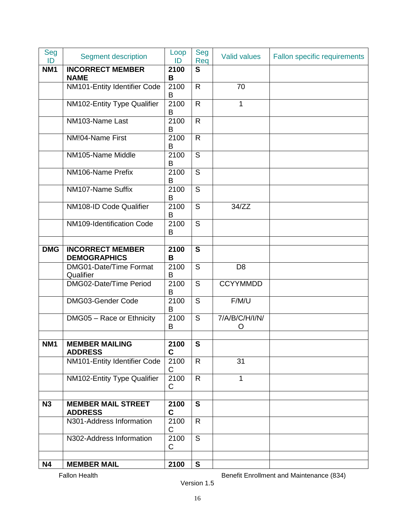| Seg<br>ID       | <b>Segment description</b>                     | Loop<br>ID          | Seg<br>Req     | <b>Valid values</b> | Fallon specific requirements |
|-----------------|------------------------------------------------|---------------------|----------------|---------------------|------------------------------|
| <b>NM1</b>      | <b>INCORRECT MEMBER</b><br><b>NAME</b>         | 2100<br>B           | $\mathbf{s}$   |                     |                              |
|                 | NM101-Entity Identifier Code                   | 2100<br>B           | $\mathsf{R}$   | 70                  |                              |
|                 | NM102-Entity Type Qualifier                    | 2100<br>B           | $\mathsf{R}$   | 1                   |                              |
|                 | NM103-Name Last                                | 2100<br>B           | $\mathsf{R}$   |                     |                              |
|                 | NM!04-Name First                               | 2100<br>B           | $\mathsf{R}$   |                     |                              |
|                 | NM105-Name Middle                              | 2100<br>B           | S              |                     |                              |
|                 | NM106-Name Prefix                              | 2100<br>B           | $\overline{S}$ |                     |                              |
|                 | NM107-Name Suffix                              | 2100<br>В           | S              |                     |                              |
|                 | NM108-ID Code Qualifier                        | 2100<br>B           | $\mathsf S$    | 34/ZZ               |                              |
|                 | NM109-Identification Code                      | 2100<br>B           | S              |                     |                              |
| <b>DMG</b>      | <b>INCORRECT MEMBER</b><br><b>DEMOGRAPHICS</b> | 2100<br>B           | $\mathbf{s}$   |                     |                              |
|                 | DMG01-Date/Time Format<br>Qualifier            | 2100<br>B           | S              | D <sub>8</sub>      |                              |
|                 | DMG02-Date/Time Period                         | 2100<br>В           | $\overline{S}$ | <b>CCYYMMDD</b>     |                              |
|                 | DMG03-Gender Code                              | 2100<br>B           | $\mathsf S$    | F/M/U               |                              |
|                 | DMG05 - Race or Ethnicity                      | 2100<br>B           | $\mathsf S$    | 7/A/B/C/H/I/N/<br>O |                              |
| NM <sub>1</sub> | <b>MEMBER MAILING</b><br><b>ADDRESS</b>        | 2100<br>$\mathbf c$ | ${\mathbf S}$  |                     |                              |
|                 | NM101-Entity Identifier Code                   | 2100<br>C           | $\mathsf{R}$   | 31                  |                              |
|                 | NM102-Entity Type Qualifier                    | 2100<br>C           | $\mathsf{R}$   | 1                   |                              |
| N3              | <b>MEMBER MAIL STREET</b><br><b>ADDRESS</b>    | 2100<br>$\mathbf c$ | S              |                     |                              |
|                 | N301-Address Information                       | 2100<br>$\mathsf C$ | $\mathsf{R}$   |                     |                              |
|                 | N302-Address Information                       | 2100<br>C           | S              |                     |                              |
| <b>N4</b>       | <b>MEMBER MAIL</b>                             | 2100                | $\mathbf{s}$   |                     |                              |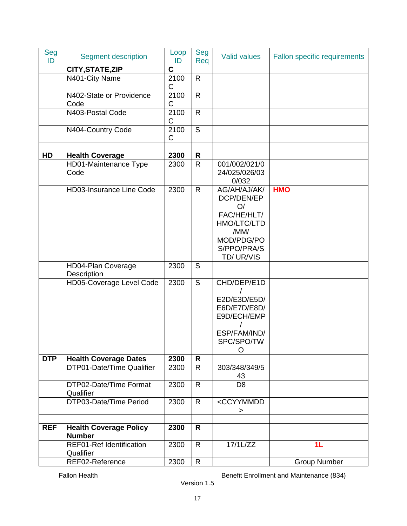| Seg<br>ID  | <b>Segment description</b>                   | Loop<br>ID  | Seg<br>Req   | <b>Valid values</b>                                                                                              | Fallon specific requirements |
|------------|----------------------------------------------|-------------|--------------|------------------------------------------------------------------------------------------------------------------|------------------------------|
|            | CITY, STATE, ZIP                             | $\mathbf C$ |              |                                                                                                                  |                              |
|            | N401-City Name                               | 2100<br>C   | $\mathsf{R}$ |                                                                                                                  |                              |
|            | N402-State or Providence<br>Code             | 2100<br>C   | $\mathsf{R}$ |                                                                                                                  |                              |
|            | N403-Postal Code                             | 2100<br>C   | $\mathsf{R}$ |                                                                                                                  |                              |
|            | N404-Country Code                            | 2100<br>C   | S            |                                                                                                                  |                              |
| HD         | <b>Health Coverage</b>                       | 2300        | $\mathsf{R}$ |                                                                                                                  |                              |
|            | HD01-Maintenance Type<br>Code                | 2300        | $\mathsf{R}$ | 001/002/021/0<br>24/025/026/03<br>0/032                                                                          |                              |
|            | <b>HD03-Insurance Line Code</b>              | 2300        | $\mathsf{R}$ | AG/AH/AJ/AK/<br>DCP/DEN/EP<br>O/<br>FAC/HE/HLT/<br>HMO/LTC/LTD<br>/MM/<br>MOD/PDG/PO<br>S/PPO/PRA/S<br>TD/UR/VIS | <b>HMO</b>                   |
|            | <b>HD04-Plan Coverage</b><br>Description     | 2300        | S            |                                                                                                                  |                              |
|            | HD05-Coverage Level Code                     | 2300        | S            | CHD/DEP/E1D<br>E2D/E3D/E5D/<br>E6D/E7D/E8D/<br>E9D/ECH/EMP<br>ESP/FAM/IND/<br>SPC/SPO/TW<br>O                    |                              |
| <b>DTP</b> | <b>Health Coverage Dates</b>                 | 2300        | R            |                                                                                                                  |                              |
|            | DTP01-Date/Time Qualifier                    | 2300        | R            | 303/348/349/5<br>43                                                                                              |                              |
|            | DTP02-Date/Time Format<br>Qualifier          | 2300        | R            | D <sub>8</sub>                                                                                                   |                              |
|            | DTP03-Date/Time Period                       | 2300        | R            | <ccyymmdd<br><math>\,&gt;</math></ccyymmdd<br>                                                                   |                              |
| <b>REF</b> | <b>Health Coverage Policy</b>                | 2300        | R            |                                                                                                                  |                              |
|            | <b>Number</b>                                |             |              |                                                                                                                  |                              |
|            | <b>REF01-Ref Identification</b><br>Qualifier | 2300        | R            | $17/1$ L/ZZ                                                                                                      | 1 <sub>L</sub>               |
|            | REF02-Reference                              | 2300        | $\mathsf{R}$ |                                                                                                                  | <b>Group Number</b>          |